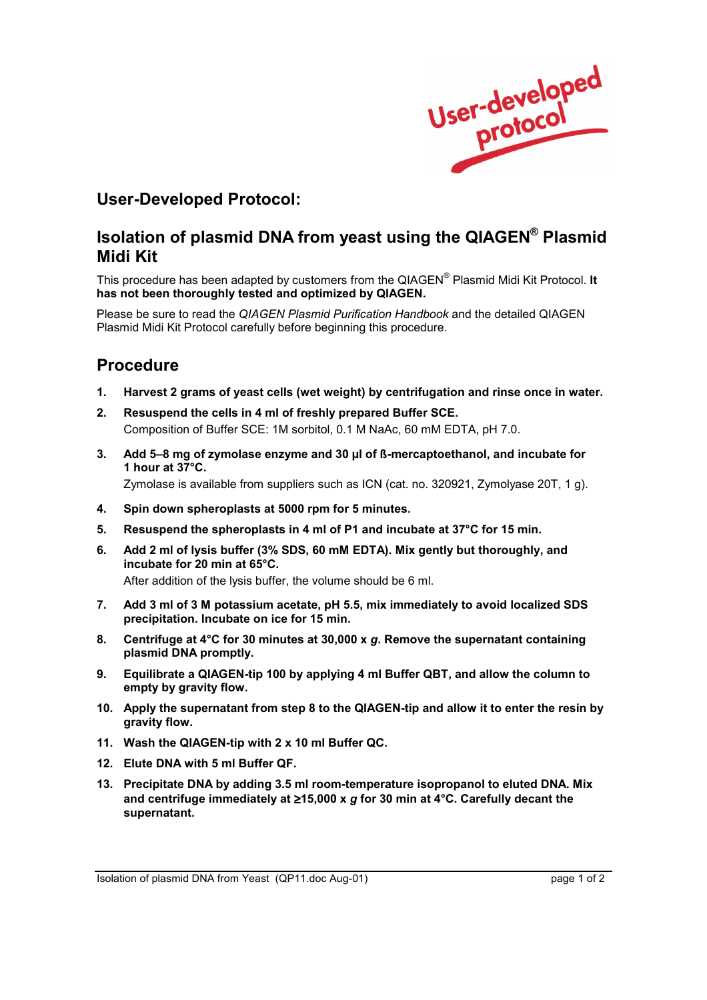

## **User-Developed Protocol:**

## **Isolation of plasmid DNA from yeast using the QIAGEN® Plasmid Midi Kit**

This procedure has been adapted by customers from the QIAGEN<sup>®</sup> Plasmid Midi Kit Protocol. It **has not been thoroughly tested and optimized by QIAGEN.** 

Please be sure to read the *QIAGEN Plasmid Purification Handbook* and the detailed QIAGEN Plasmid Midi Kit Protocol carefully before beginning this procedure.

## **Procedure**

- **1. Harvest 2 grams of yeast cells (wet weight) by centrifugation and rinse once in water.**
- **2. Resuspend the cells in 4 ml of freshly prepared Buffer SCE.**  Composition of Buffer SCE: 1M sorbitol, 0.1 M NaAc, 60 mM EDTA, pH 7.0.
- 3. Add 5–8 mg of zymolase enzyme and 30 ul of **ß-mercaptoethanol, and incubate for 1 hour at 37°C.**

Zymolase is available from suppliers such as ICN (cat. no. 320921, Zymolyase 20T, 1 g).

- **4. Spin down spheroplasts at 5000 rpm for 5 minutes.**
- **5. Resuspend the spheroplasts in 4 ml of P1 and incubate at 37°C for 15 min.**
- **6. Add 2 ml of lysis buffer (3% SDS, 60 mM EDTA). Mix gently but thoroughly, and incubate for 20 min at 65°C.**  After addition of the lysis buffer, the volume should be 6 ml.

- **7. Add 3 ml of 3 M potassium acetate, pH 5.5, mix immediately to avoid localized SDS precipitation. Incubate on ice for 15 min.**
- **8. Centrifuge at 4°C for 30 minutes at 30,000 x** *g***. Remove the supernatant containing plasmid DNA promptly.**
- **9. Equilibrate a QIAGEN-tip 100 by applying 4 ml Buffer QBT, and allow the column to empty by gravity flow.**
- **10. Apply the supernatant from step 8 to the QIAGEN-tip and allow it to enter the resin by gravity flow.**
- **11. Wash the QIAGEN-tip with 2 x 10 ml Buffer QC.**
- **12. Elute DNA with 5 ml Buffer QF.**
- **13. Precipitate DNA by adding 3.5 ml room-temperature isopropanol to eluted DNA. Mix and centrifuge immediately at** ≥**15,000 x** *g* **for 30 min at 4°C. Carefully decant the supernatant.**